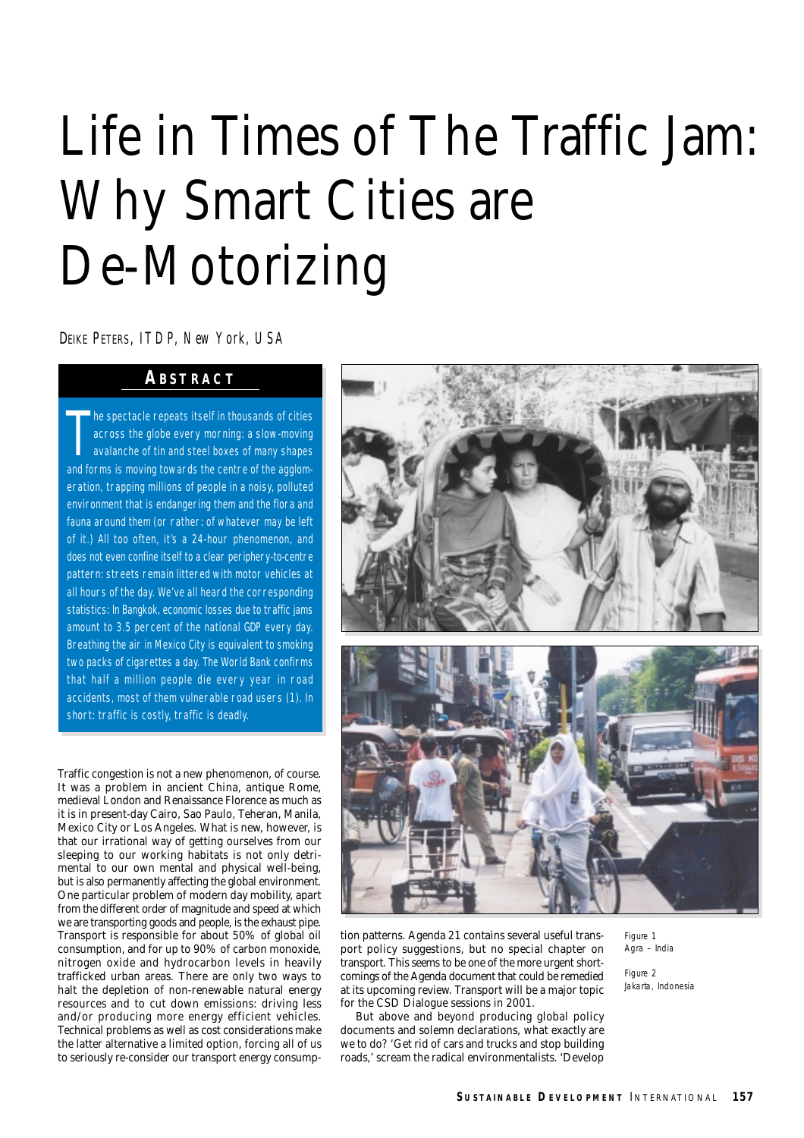# Life in Times of The Traffic Jam: Why Smart Cities are De-Motorizing

DEIKE PETERS, *ITDP, New York, USA*

## **ABSTRACT**

T **he spectacle repeats itself in thousands of cities** across the globe every morning: a slow-moving avalanche of tin and steel boxes of many shapes and forms is moving towards the centre of the agglomeration, trapping millions of people in a noisy, polluted environment that is endangering them and the flora and fauna around them (or rather: of whatever may be left of it.) All too often, it's a 24-hour phenomenon, and does not even confine itself to a clear periphery-to-centre pattern: streets remain littered with motor vehicles at all hours of the day. We've all heard the corresponding statistics: In Bangkok, economic losses due to traffic jams amount to 3.5 percent of the national GDP every day. Breathing the air in Mexico City is equivalent to smoking two packs of cigarettes a day. The World Bank confirms that half a million people die every year in road accidents, most of them vulnerable road users (1). In short: traffic is costly, traffic is deadly.

Traffic congestion is not a new phenomenon, of course. It was a problem in ancient China, antique Rome, medieval London and Renaissance Florence as much as it is in present-day Cairo, Sao Paulo, Teheran, Manila, Mexico City or Los Angeles. What is new, however, is that our irrational way of getting ourselves from our sleeping to our working habitats is not only detrimental to our own mental and physical well-being, but is also permanently affecting the global environment. One particular problem of modern day mobility, apart from the different order of magnitude and speed at which we are transporting goods and people, is the exhaust pipe. Transport is responsible for about 50% of global oil consumption, and for up to 90% of carbon monoxide, nitrogen oxide and hydrocarbon levels in heavily trafficked urban areas. There are only two ways to halt the depletion of non-renewable natural energy resources and to cut down emissions: driving less and/or producing more energy efficient vehicles. Technical problems as well as cost considerations make the latter alternative a limited option, forcing all of us to seriously re-consider our transport energy consump-



tion patterns. Agenda 21 contains several useful transport policy suggestions, but no special chapter on transport. This seems to be one of the more urgent shortcomings of the Agenda document that could be remedied at its upcoming review. Transport will be a major topic for the CSD Dialogue sessions in 2001.

But above and beyond producing global policy documents and solemn declarations, what exactly are we to do? 'Get rid of cars and trucks and stop building roads,' scream the radical environmentalists. 'Develop *Figure 1 Agra – India*

*Figure 2 Jakarta, Indonesia*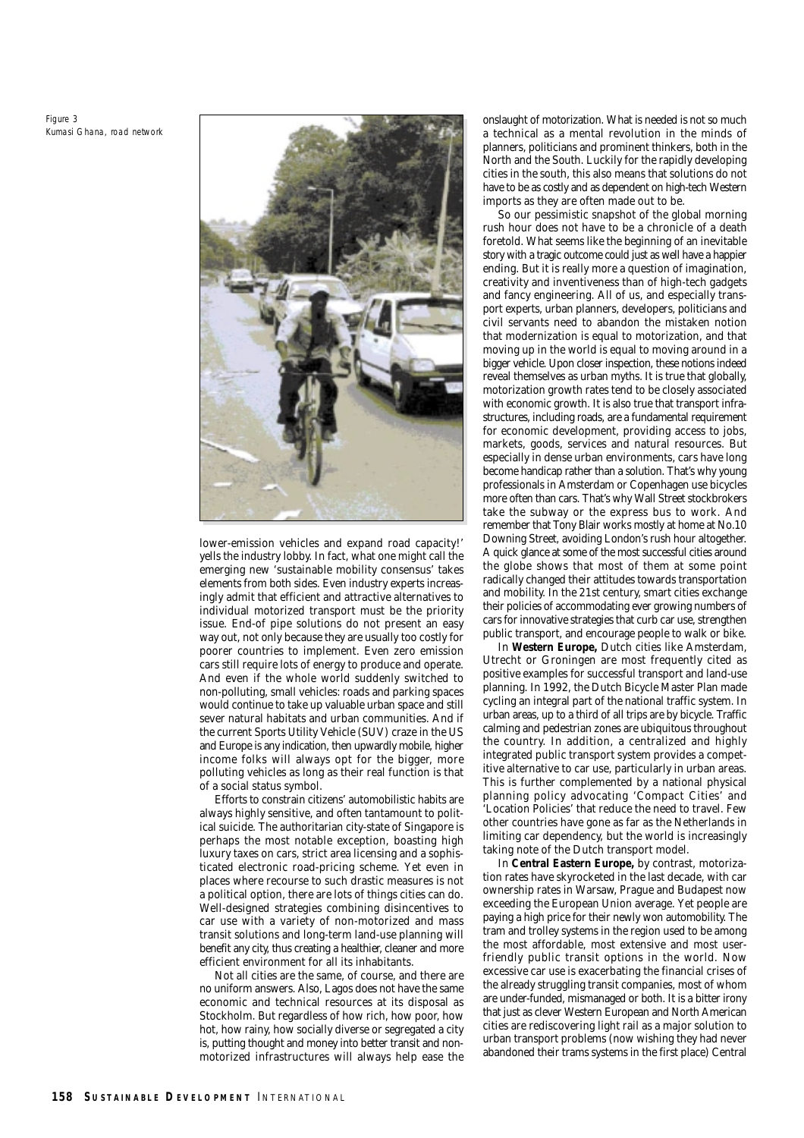*Figure 3 Kumasi Ghana, road network*



lower-emission vehicles and expand road capacity!' yells the industry lobby. In fact, what one might call the emerging new 'sustainable mobility consensus' takes elements from both sides. Even industry experts increasingly admit that efficient and attractive alternatives to individual motorized transport must be the priority issue. End-of pipe solutions do not present an easy way out, not only because they are usually too costly for poorer countries to implement. Even zero emission cars still require lots of energy to produce and operate. And even if the whole world suddenly switched to non-polluting, small vehicles: roads and parking spaces would continue to take up valuable urban space and still sever natural habitats and urban communities. And if the current Sports Utility Vehicle (SUV) craze in the US and Europe is any indication, then upwardly mobile, higher income folks will always opt for the bigger, more polluting vehicles as long as their real function is that of a social status symbol.

Efforts to constrain citizens' automobilistic habits are always highly sensitive, and often tantamount to political suicide. The authoritarian city-state of Singapore is perhaps the most notable exception, boasting high luxury taxes on cars, strict area licensing and a sophisticated electronic road-pricing scheme. Yet even in places where recourse to such drastic measures is not a political option, there are lots of things cities can do. Well-designed strategies combining disincentives to car use with a variety of non-motorized and mass transit solutions and long-term land-use planning will benefit any city, thus creating a healthier, cleaner and more efficient environment for all its inhabitants.

Not all cities are the same, of course, and there are no uniform answers. Also, Lagos does not have the same economic and technical resources at its disposal as Stockholm. But regardless of how rich, how poor, how hot, how rainy, how socially diverse or segregated a city is, putting thought and money into better transit and nonmotorized infrastructures will always help ease the onslaught of motorization. What is needed is not so much a technical as a mental revolution in the minds of planners, politicians and prominent thinkers, both in the North and the South. Luckily for the rapidly developing cities in the south, this also means that solutions do not have to be as costly and as dependent on high-tech Western imports as they are often made out to be.

So our pessimistic snapshot of the global morning rush hour does not have to be a chronicle of a death foretold. What seems like the beginning of an inevitable story with a tragic outcome could just as well have a happier ending. But it is really more a question of imagination, creativity and inventiveness than of high-tech gadgets and fancy engineering. All of us, and especially transport experts, urban planners, developers, politicians and civil servants need to abandon the mistaken notion that modernization is equal to motorization, and that moving up in the world is equal to moving around in a bigger vehicle. Upon closer inspection, these notions indeed reveal themselves as urban myths. It is true that globally, motorization growth rates tend to be closely associated with economic growth. It is also true that transport infrastructures, including roads, are a fundamental requirement for economic development, providing access to jobs, markets, goods, services and natural resources. But especially in dense urban environments, cars have long become handicap rather than a solution. That's why young professionals in Amsterdam or Copenhagen use bicycles more often than cars. That's why Wall Street stockbrokers take the subway or the express bus to work. And remember that Tony Blair works mostly at home at No.10 Downing Street, avoiding London's rush hour altogether. A quick glance at some of the most successful cities around the globe shows that most of them at some point radically changed their attitudes towards transportation and mobility. In the 21st century, smart cities exchange their policies of accommodating ever growing numbers of cars for innovative strategies that curb car use, strengthen public transport, and encourage people to walk or bike.

In **Western Europe,** Dutch cities like Amsterdam, Utrecht or Groningen are most frequently cited as positive examples for successful transport and land-use planning. In 1992, the Dutch Bicycle Master Plan made cycling an integral part of the national traffic system. In urban areas, up to a third of all trips are by bicycle. Traffic calming and pedestrian zones are ubiquitous throughout the country. In addition, a centralized and highly integrated public transport system provides a competitive alternative to car use, particularly in urban areas. This is further complemented by a national physical planning policy advocating 'Compact Cities' and 'Location Policies' that reduce the need to travel. Few other countries have gone as far as the Netherlands in limiting car dependency, but the world is increasingly taking note of the Dutch transport model.

In **Central Eastern Europe,** by contrast, motorization rates have skyrocketed in the last decade, with car ownership rates in Warsaw, Prague and Budapest now exceeding the European Union average. Yet people are paying a high price for their newly won automobility. The tram and trolley systems in the region used to be among the most affordable, most extensive and most userfriendly public transit options in the world. Now excessive car use is exacerbating the financial crises of the already struggling transit companies, most of whom are under-funded, mismanaged or both. It is a bitter irony that just as clever Western European and North American cities are rediscovering light rail as a major solution to urban transport problems (now wishing they had never abandoned their trams systems in the first place) Central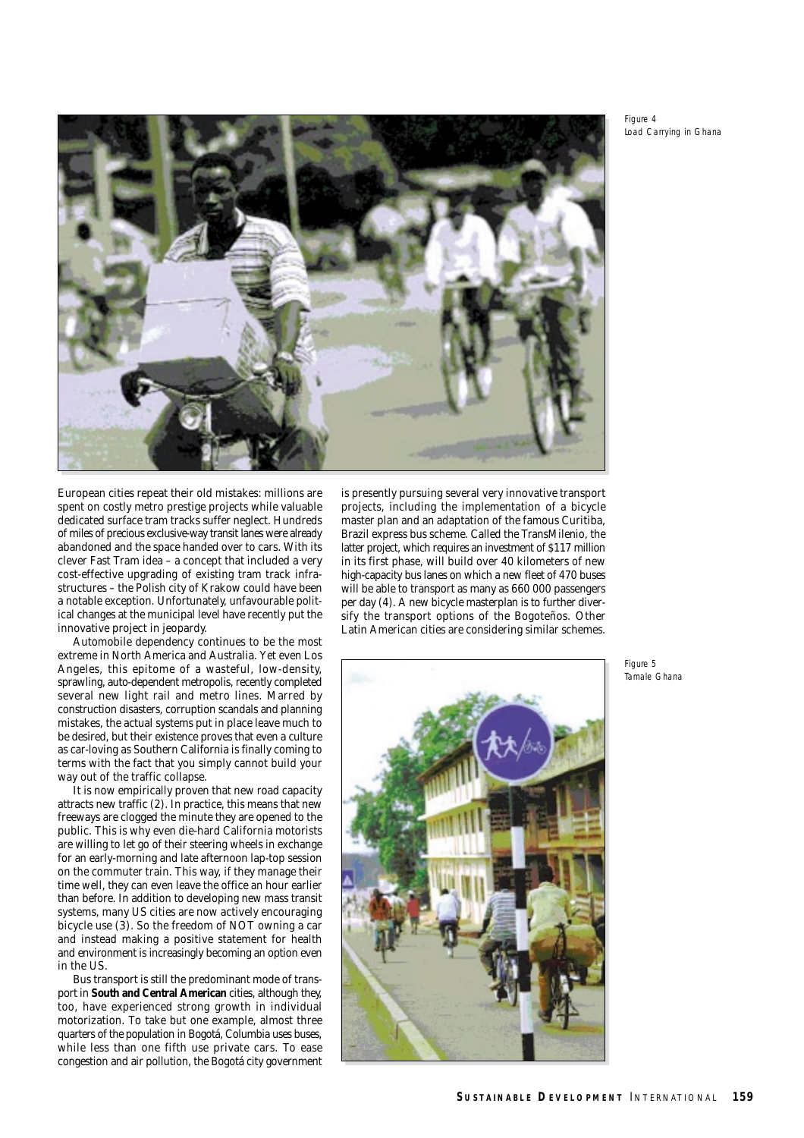*Figure 4 Load Carrying in Ghana*



European cities repeat their old mistakes: millions are spent on costly metro prestige projects while valuable dedicated surface tram tracks suffer neglect. Hundreds of miles of precious exclusive-way transit lanes were already abandoned and the space handed over to cars. With its clever Fast Tram idea – a concept that included a very cost-effective upgrading of existing tram track infrastructures – the Polish city of Krakow could have been a notable exception. Unfortunately, unfavourable political changes at the municipal level have recently put the innovative project in jeopardy.

Automobile dependency continues to be the most extreme in North America and Australia. Yet even Los Angeles, this epitome of a wasteful, low-density, sprawling, auto-dependent metropolis, recently completed several new light rail and metro lines. Marred by construction disasters, corruption scandals and planning mistakes, the actual systems put in place leave much to be desired, but their existence proves that even a culture as car-loving as Southern California is finally coming to terms with the fact that you simply cannot build your way out of the traffic collapse.

It is now empirically proven that new road capacity attracts new traffic (2). In practice, this means that new freeways are clogged the minute they are opened to the public. This is why even die-hard California motorists are willing to let go of their steering wheels in exchange for an early-morning and late afternoon lap-top session on the commuter train. This way, if they manage their time well, they can even leave the office an hour earlier than before. In addition to developing new mass transit systems, many US cities are now actively encouraging bicycle use (3). So the freedom of NOT owning a car and instead making a positive statement for health and environment is increasingly becoming an option even in the US.

Bus transport is still the predominant mode of transport in **South and Central American** cities, although they, too, have experienced strong growth in individual motorization. To take but one example, almost three quarters of the population in Bogotá, Columbia uses buses, while less than one fifth use private cars. To ease congestion and air pollution, the Bogotá city government

is presently pursuing several very innovative transport projects, including the implementation of a bicycle master plan and an adaptation of the famous Curitiba, Brazil express bus scheme. Called the TransMilenio, the latter project, which requires an investment of \$117 million in its first phase, will build over 40 kilometers of new high-capacity bus lanes on which a new fleet of 470 buses will be able to transport as many as 660 000 passengers per day (4). A new bicycle masterplan is to further diversify the transport options of the Bogoteños. Other Latin American cities are considering similar schemes.



*Figure 5 Tamale Ghana*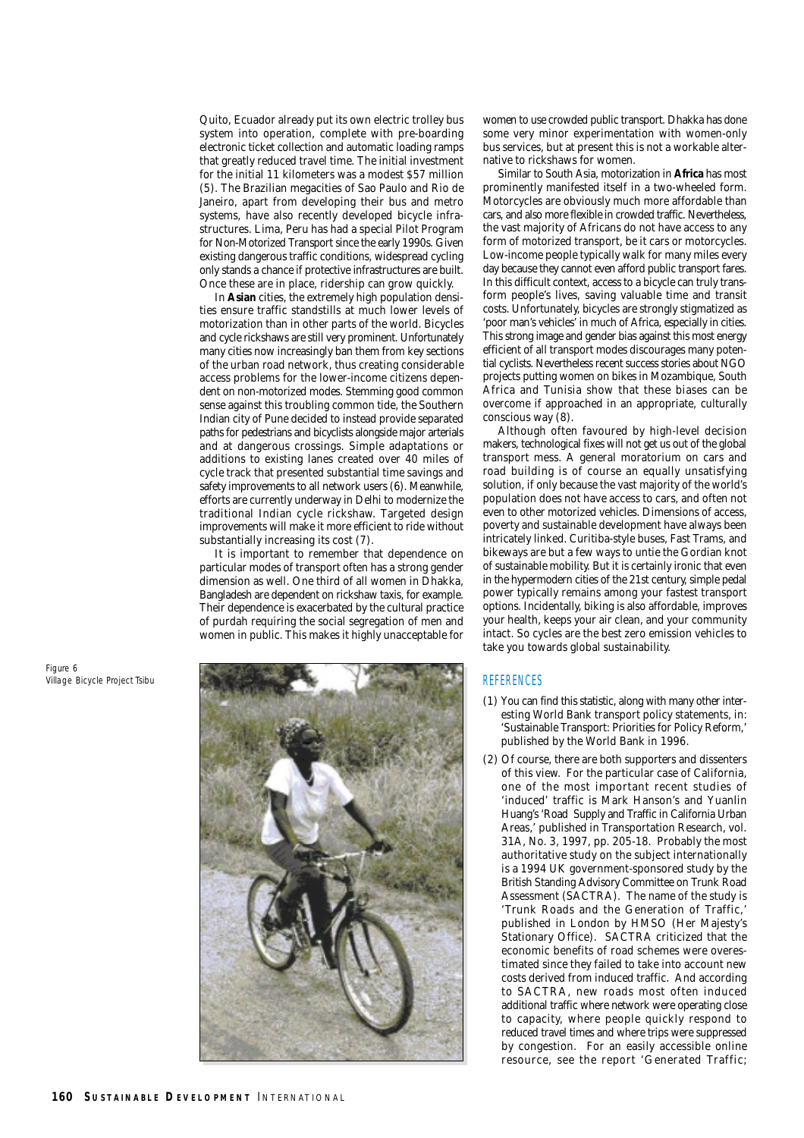Quito, Ecuador already put its own electric trolley bus system into operation, complete with pre-boarding electronic ticket collection and automatic loading ramps that greatly reduced travel time. The initial investment for the initial 11 kilometers was a modest \$57 million (5). The Brazilian megacities of Sao Paulo and Rio de Janeiro, apart from developing their bus and metro systems, have also recently developed bicycle infrastructures. Lima, Peru has had a special Pilot Program for Non-Motorized Transport since the early 1990s. Given existing dangerous traffic conditions, widespread cycling only stands a chance if protective infrastructures are built. Once these are in place, ridership can grow quickly.

In **Asian** cities, the extremely high population densities ensure traffic standstills at much lower levels of motorization than in other parts of the world. Bicycles and cycle rickshaws are still very prominent. Unfortunately many cities now increasingly ban them from key sections of the urban road network, thus creating considerable access problems for the lower-income citizens dependent on non-motorized modes. Stemming good common sense against this troubling common tide, the Southern Indian city of Pune decided to instead provide separated paths for pedestrians and bicyclists alongside major arterials and at dangerous crossings. Simple adaptations or additions to existing lanes created over 40 miles of cycle track that presented substantial time savings and safety improvements to all network users (6). Meanwhile, efforts are currently underway in Delhi to modernize the traditional Indian cycle rickshaw. Targeted design improvements will make it more efficient to ride without substantially increasing its cost (7).

It is important to remember that dependence on particular modes of transport often has a strong gender dimension as well. One third of all women in Dhakka, Bangladesh are dependent on rickshaw taxis, for example. Their dependence is exacerbated by the cultural practice of purdah requiring the social segregation of men and women in public. This makes it highly unacceptable for

women to use crowded public transport. Dhakka has done some very minor experimentation with women-only bus services, but at present this is not a workable alternative to rickshaws for women.

Similar to South Asia, motorization in **Africa** has most prominently manifested itself in a two-wheeled form. Motorcycles are obviously much more affordable than cars, and also more flexible in crowded traffic. Nevertheless, the vast majority of Africans do not have access to any form of motorized transport, be it cars or motorcycles. Low-income people typically walk for many miles every day because they cannot even afford public transport fares. In this difficult context, access to a bicycle can truly transform people's lives, saving valuable time and transit costs. Unfortunately, bicycles are strongly stigmatized as 'poor man's vehicles' in much of Africa, especially in cities. This strong image and gender bias against this most energy efficient of all transport modes discourages many potential cyclists. Nevertheless recent success stories about NGO projects putting women on bikes in Mozambique, South Africa and Tunisia show that these biases can be overcome if approached in an appropriate, culturally conscious way (8).

Although often favoured by high-level decision makers, technological fixes will not get us out of the global transport mess. A general moratorium on cars and road building is of course an equally unsatisfying solution, if only because the vast majority of the world's population does not have access to cars, and often not even to other motorized vehicles. Dimensions of access, poverty and sustainable development have always been intricately linked. Curitiba-style buses, Fast Trams, and bikeways are but a few ways to untie the Gordian knot of sustainable mobility. But it is certainly ironic that even in the hypermodern cities of the 21st century, simple pedal power typically remains among your fastest transport options. Incidentally, biking is also affordable, improves your health, keeps your air clean, and your community intact. So cycles are the best zero emission vehicles to take you towards global sustainability.

(1) You can find this statistic, along with many other interesting World Bank transport policy statements, in:

**REFERENCES** 

#### *Figure 6 Village Bicycle Project Tsibu*

#### 'Sustainable Transport: Priorities for Policy Reform,' published by the World Bank in 1996. (2) Of course, there are both supporters and dissenters of this view. For the particular case of California, one of the most important recent studies of 'induced' traffic is Mark Hanson's and Yuanlin Huang's 'Road Supply and Traffic in California Urban Areas,' published in Transportation Research, vol. 31A, No. 3, 1997, pp. 205-18. Probably the most authoritative study on the subject internationally is a 1994 UK government-sponsored study by the British Standing Advisory Committee on Trunk Road Assessment (SACTRA). The name of the study is 'Trunk Roads and the Generation of Traffic,' published in London by HMSO (Her Majesty's Stationary Office). SACTRA criticized that the economic benefits of road schemes were overestimated since they failed to take into account new costs derived from induced traffic. And according to SACTRA, new roads most often induced additional traffic where network were operating close to capacity, where people quickly respond to reduced travel times and where trips were suppressed by congestion. For an easily accessible online resource, see the report 'Generated Traffic;